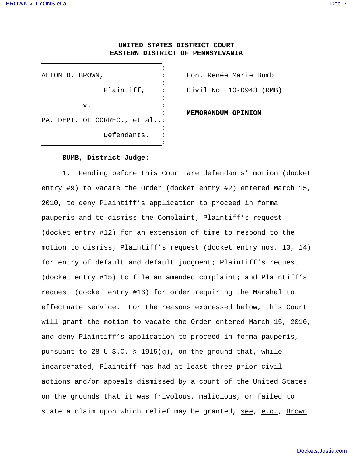J.

## **UNITED STATES DISTRICT COURT EASTERN DISTRICT OF PENNSYLVANIA**

| ALTON D. BROWN,                |  |
|--------------------------------|--|
|                                |  |
| Plaintiff,                     |  |
|                                |  |
| v.                             |  |
|                                |  |
| PA. DEPT. OF CORREC., et al.,: |  |
|                                |  |
| Defendants.                    |  |
|                                |  |

Hon. Renée Marie Bumb Civil No. 10-0943 (RMB)

**MEMORANDUM OPINION**

## **BUMB, District Judge**:

1. Pending before this Court are defendants' motion (docket entry #9) to vacate the Order (docket entry #2) entered March 15, 2010, to deny Plaintiff's application to proceed in forma pauperis and to dismiss the Complaint; Plaintiff's request (docket entry #12) for an extension of time to respond to the motion to dismiss; Plaintiff's request (docket entry nos. 13, 14) for entry of default and default judgment; Plaintiff's request (docket entry #15) to file an amended complaint; and Plaintiff's request (docket entry #16) for order requiring the Marshal to effectuate service. For the reasons expressed below, this Court will grant the motion to vacate the Order entered March 15, 2010, and deny Plaintiff's application to proceed in forma pauperis, pursuant to 28 U.S.C. § 1915(g), on the ground that, while incarcerated, Plaintiff has had at least three prior civil actions and/or appeals dismissed by a court of the United States on the grounds that it was frivolous, malicious, or failed to state a claim upon which relief may be granted, see, e.g., Brown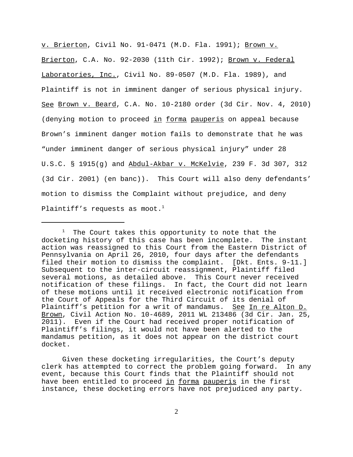v. Brierton, Civil No. 91-0471 (M.D. Fla. 1991); Brown v. Brierton, C.A. No. 92-2030 (11th Cir. 1992); Brown v. Federal Laboratories, Inc., Civil No. 89-0507 (M.D. Fla. 1989), and Plaintiff is not in imminent danger of serious physical injury. See Brown v. Beard, C.A. No. 10-2180 order (3d Cir. Nov. 4, 2010) (denying motion to proceed in forma pauperis on appeal because Brown's imminent danger motion fails to demonstrate that he was "under imminent danger of serious physical injury" under 28 U.S.C. § 1915(g) and Abdul-Akbar v. McKelvie, 239 F. 3d 307, 312 (3d Cir. 2001) (en banc)). This Court will also deny defendants' motion to dismiss the Complaint without prejudice, and deny Plaintiff's requests as moot.<sup>1</sup>

 $1$  The Court takes this opportunity to note that the docketing history of this case has been incomplete. The instant action was reassigned to this Court from the Eastern District of Pennsylvania on April 26, 2010, four days after the defendants filed their motion to dismiss the complaint. [Dkt. Ents. 9-11.] Subsequent to the inter-circuit reassignment, Plaintiff filed several motions, as detailed above. This Court never received notification of these filings. In fact, the Court did not learn of these motions until it received electronic notification from the Court of Appeals for the Third Circuit of its denial of Plaintiff's petition for a writ of mandamus. See In re Alton D. Brown, Civil Action No. 10-4689, 2011 WL 213486 (3d Cir. Jan. 25, 2011). Even if the Court had received proper notification of Plaintiff's filings, it would not have been alerted to the mandamus petition, as it does not appear on the district court docket.

Given these docketing irregularities, the Court's deputy clerk has attempted to correct the problem going forward. In any event, because this Court finds that the Plaintiff should not have been entitled to proceed in forma pauperis in the first instance, these docketing errors have not prejudiced any party.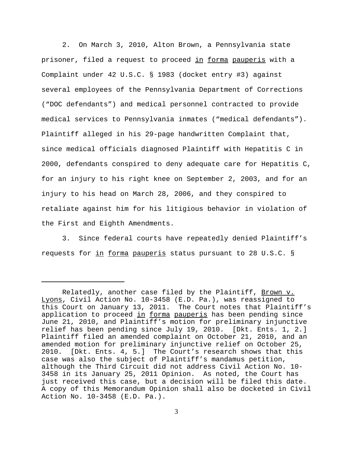2. On March 3, 2010, Alton Brown, a Pennsylvania state prisoner, filed a request to proceed in forma pauperis with a Complaint under 42 U.S.C. § 1983 (docket entry #3) against several employees of the Pennsylvania Department of Corrections ("DOC defendants") and medical personnel contracted to provide medical services to Pennsylvania inmates ("medical defendants"). Plaintiff alleged in his 29-page handwritten Complaint that, since medical officials diagnosed Plaintiff with Hepatitis C in 2000, defendants conspired to deny adequate care for Hepatitis C, for an injury to his right knee on September 2, 2003, and for an injury to his head on March 28, 2006, and they conspired to retaliate against him for his litigious behavior in violation of the First and Eighth Amendments.

3. Since federal courts have repeatedly denied Plaintiff's requests for in forma pauperis status pursuant to 28 U.S.C. §

Relatedly, another case filed by the Plaintiff, Brown v. Lyons, Civil Action No. 10-3458 (E.D. Pa.), was reassigned to this Court on January 13, 2011. The Court notes that Plaintiff's application to proceed in forma pauperis has been pending since June 21, 2010, and Plaintiff's motion for preliminary injunctive relief has been pending since July 19, 2010. [Dkt. Ents. 1, 2.] Plaintiff filed an amended complaint on October 21, 2010, and an amended motion for preliminary injunctive relief on October 25, 2010. [Dkt. Ents. 4, 5.] The Court's research shows that this case was also the subject of Plaintiff's mandamus petition, although the Third Circuit did not address Civil Action No. 10- 3458 in its January 25, 2011 Opinion. As noted, the Court has just received this case, but a decision will be filed this date. A copy of this Memorandum Opinion shall also be docketed in Civil Action No. 10-3458 (E.D. Pa.).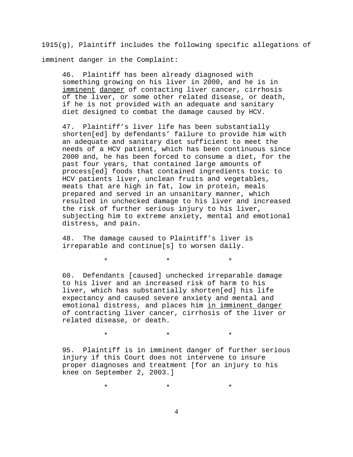$1915(q)$ , Plaintiff includes the following specific allegations of imminent danger in the Complaint:

46. Plaintiff has been already diagnosed with something growing on his liver in 2000, and he is in imminent danger of contacting liver cancer, cirrhosis of the liver, or some other related disease, or death, if he is not provided with an adequate and sanitary diet designed to combat the damage caused by HCV.

47. Plaintiff's liver life has been substantially shorten[ed] by defendants' failure to provide him with an adequate and sanitary diet sufficient to meet the needs of a HCV patient, which has been continuous since 2000 and, he has been forced to consume a diet, for the past four years, that contained large amounts of process[ed] foods that contained ingredients toxic to HCV patients liver, unclean fruits and vegetables, meats that are high in fat, low in protein, meals prepared and served in an unsanitary manner, which resulted in unchecked damage to his liver and increased the risk of further serious injury to his liver, subjecting him to extreme anxiety, mental and emotional distress, and pain.

48. The damage caused to Plaintiff's liver is irreparable and continue[s] to worsen daily.

\*\*\*

60. Defendants [caused] unchecked irreparable damage to his liver and an increased risk of harm to his liver, which has substantially shorten[ed] his life expectancy and caused severe anxiety and mental and emotional distress, and places him in imminent danger of contracting liver cancer, cirrhosis of the liver or related disease, or death.

95. Plaintiff is in imminent danger of further serious injury if this Court does not intervene to insure proper diagnoses and treatment [for an injury to his knee on September 2, 2003.]

\*\*\*

\*\*\*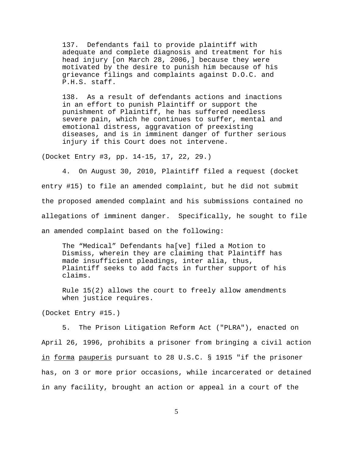137. Defendants fail to provide plaintiff with adequate and complete diagnosis and treatment for his head injury [on March 28, 2006,] because they were motivated by the desire to punish him because of his grievance filings and complaints against D.O.C. and P.H.S. staff.

138. As a result of defendants actions and inactions in an effort to punish Plaintiff or support the punishment of Plaintiff, he has suffered needless severe pain, which he continues to suffer, mental and emotional distress, aggravation of preexisting diseases, and is in imminent danger of further serious injury if this Court does not intervene.

(Docket Entry #3, pp. 14-15, 17, 22, 29.)

4. On August 30, 2010, Plaintiff filed a request (docket entry #15) to file an amended complaint, but he did not submit the proposed amended complaint and his submissions contained no allegations of imminent danger. Specifically, he sought to file an amended complaint based on the following:

The "Medical" Defendants ha[ve] filed a Motion to Dismiss, wherein they are claiming that Plaintiff has made insufficient pleadings, inter alia, thus, Plaintiff seeks to add facts in further support of his claims.

Rule 15(2) allows the court to freely allow amendments when justice requires.

(Docket Entry #15.)

5. The Prison Litigation Reform Act ("PLRA"), enacted on April 26, 1996, prohibits a prisoner from bringing a civil action in forma pauperis pursuant to 28 U.S.C. § 1915 "if the prisoner has, on 3 or more prior occasions, while incarcerated or detained in any facility, brought an action or appeal in a court of the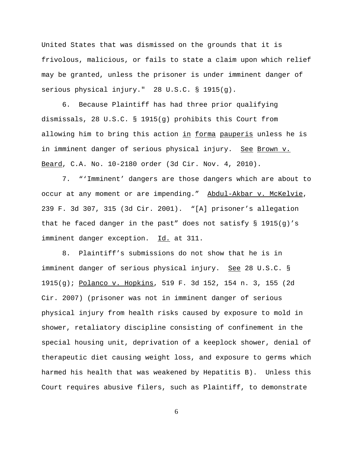United States that was dismissed on the grounds that it is frivolous, malicious, or fails to state a claim upon which relief may be granted, unless the prisoner is under imminent danger of serious physical injury." 28 U.S.C. § 1915(g).

6. Because Plaintiff has had three prior qualifying dismissals, 28 U.S.C. § 1915(g) prohibits this Court from allowing him to bring this action in forma pauperis unless he is in imminent danger of serious physical injury. See Brown v. Beard, C.A. No. 10-2180 order (3d Cir. Nov. 4, 2010).

7. "'Imminent' dangers are those dangers which are about to occur at any moment or are impending." Abdul-Akbar v. McKelvie, 239 F. 3d 307, 315 (3d Cir. 2001). "[A] prisoner's allegation that he faced danger in the past" does not satisfy § 1915(g)'s imminent danger exception. Id. at 311.

8. Plaintiff's submissions do not show that he is in imminent danger of serious physical injury. See 28 U.S.C. § 1915(g); Polanco v. Hopkins, 519 F. 3d 152, 154 n. 3, 155 (2d Cir. 2007) (prisoner was not in imminent danger of serious physical injury from health risks caused by exposure to mold in shower, retaliatory discipline consisting of confinement in the special housing unit, deprivation of a keeplock shower, denial of therapeutic diet causing weight loss, and exposure to germs which harmed his health that was weakened by Hepatitis B). Unless this Court requires abusive filers, such as Plaintiff, to demonstrate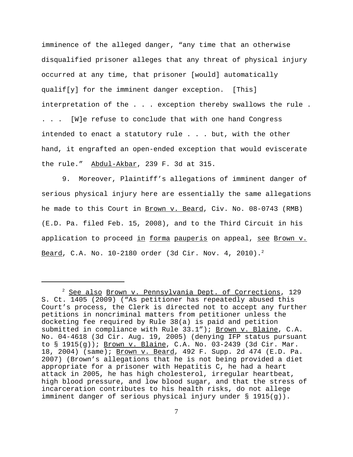imminence of the alleged danger, "any time that an otherwise disqualified prisoner alleges that any threat of physical injury occurred at any time, that prisoner [would] automatically qualif[y] for the imminent danger exception. [This] interpretation of the . . . exception thereby swallows the rule . . . . [W]e refuse to conclude that with one hand Congress intended to enact a statutory rule . . . but, with the other hand, it engrafted an open-ended exception that would eviscerate the rule." Abdul-Akbar, 239 F. 3d at 315.

9. Moreover, Plaintiff's allegations of imminent danger of serious physical injury here are essentially the same allegations he made to this Court in Brown v. Beard, Civ. No. 08-0743 (RMB) (E.D. Pa. filed Feb. 15, 2008), and to the Third Circuit in his application to proceed in forma pauperis on appeal, see Brown v. Beard, C.A. No.  $10-2180$  order (3d Cir. Nov. 4, 2010).<sup>2</sup>

<sup>&</sup>lt;sup>2</sup> See also Brown v. Pennsylvania Dept. of Corrections, 129 S. Ct. 1405 (2009) ("As petitioner has repeatedly abused this Court's process, the Clerk is directed not to accept any further petitions in noncriminal matters from petitioner unless the docketing fee required by Rule 38(a) is paid and petition submitted in compliance with Rule 33.1"); Brown v. Blaine, C.A. No. 04-4618 (3d Cir. Aug. 19, 2005) (denying IFP status pursuant to  $\S$  1915(g)); Brown v. Blaine, C.A. No. 03-2439 (3d Cir. Mar. 18, 2004) (same); Brown v. Beard, 492 F. Supp. 2d 474 (E.D. Pa. 2007) (Brown's allegations that he is not being provided a diet appropriate for a prisoner with Hepatitis C, he had a heart attack in 2005, he has high cholesterol, irregular heartbeat, high blood pressure, and low blood sugar, and that the stress of incarceration contributes to his health risks, do not allege imminent danger of serious physical injury under § 1915(g)).